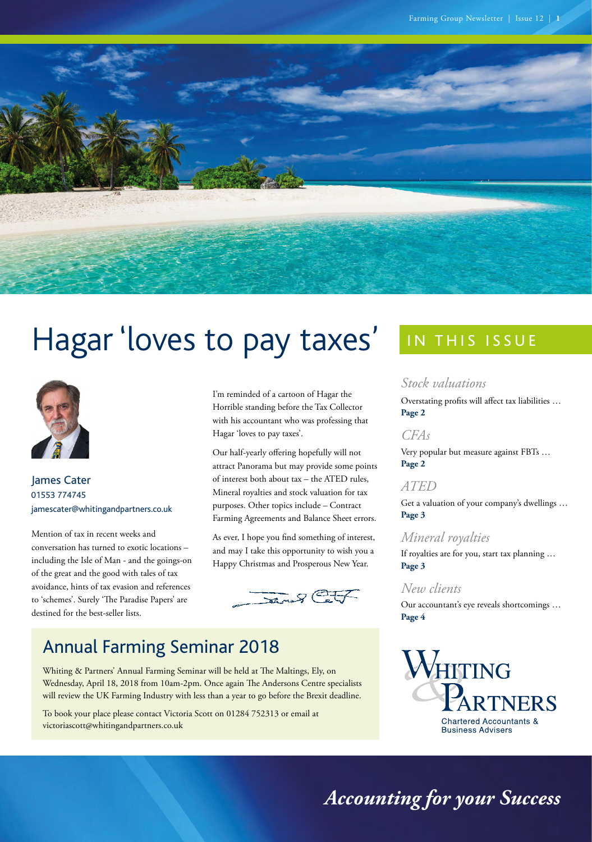

# Hagar 'loves to pay taxes'



James Cater 01553 774745 jamescater@whitingandpartners.co.uk

Mention of tax in recent weeks and conversation has turned to exotic locations – including the Isle of Man - and the goings-on of the great and the good with tales of tax avoidance, hints of tax evasion and references to 'schemes'. Surely 'The Paradise Papers' are destined for the best-seller lists.

I'm reminded of a cartoon of Hagar the Horrible standing before the Tax Collector with his accountant who was professing that Hagar 'loves to pay taxes'.

Our half-yearly offering hopefully will not attract Panorama but may provide some points of interest both about tax – the ATED rules, Mineral royalties and stock valuation for tax purposes. Other topics include – Contract Farming Agreements and Balance Sheet errors.

As ever, I hope you find something of interest, and may I take this opportunity to wish you a Happy Christmas and Prosperous New Year.



# Annual Farming Seminar 2018

Whiting & Partners' Annual Farming Seminar will be held at The Maltings, Ely, on Wednesday, April 18, 2018 from 10am-2pm. Once again The Andersons Centre specialists will review the UK Farming Industry with less than a year to go before the Brexit deadline.

To book your place please contact Victoria Scott on 01284 752313 or email at [victoriascott@whitingandpartners.co.uk](mailto:victoriascott%40whitingandpartners.co.uk?subject=Annual%20Farming%20Seminar%202018)

# IN THIS ISSUE

### *[Stock valuations](#page-1-0)*

[Overstating profits will affect tax liabilities …](#page-1-0) **[Page 2](#page-1-0)**

### *[CFAs](#page-1-0)*

[Very popular but measure against FBTs …](#page-1-0)  **[Page 2](#page-1-0)** 

## *[ATED](#page-2-0)*

[Get a valuation of your company's dwellings …](#page-2-0)  **[Page 3](#page-2-0)**

### *[Mineral royalties](#page-2-0)*

[If royalties are for you, start tax planning …](#page-2-0)  **[Page 3](#page-2-0)** 

# *[New clients](#page-3-0)*

[Our accountant's eye reveals shortcomings …](#page-3-0)  **[Page 4](#page-3-0)**



*Accounting for your Success*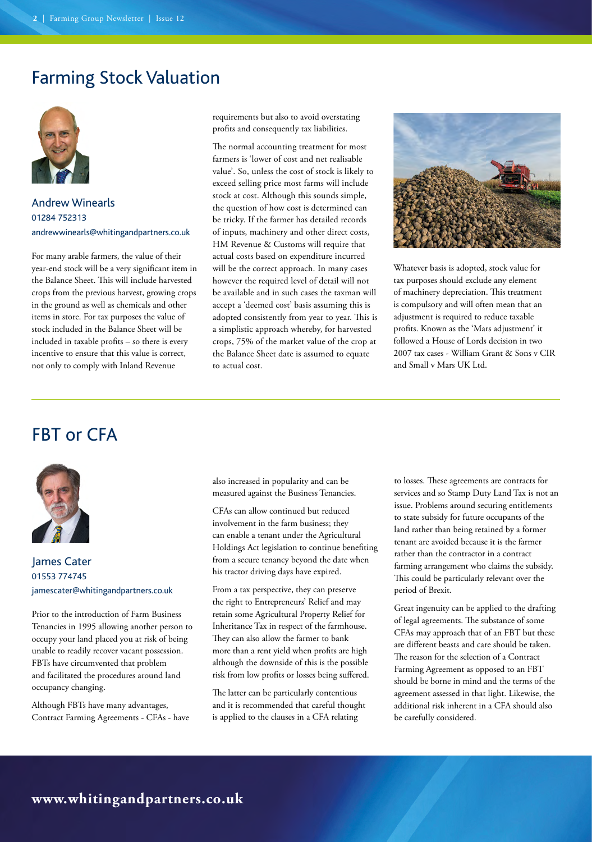# <span id="page-1-0"></span>Farming Stock Valuation



### Andrew Winearls 01284 752313 [andrewwinearls@whitingandpartners.co.uk](mailto:andrewwinearls%40whitingandpartners.co.uk?subject=)

For many arable farmers, the value of their year-end stock will be a very significant item in the Balance Sheet. This will include harvested crops from the previous harvest, growing crops in the ground as well as chemicals and other items in store. For tax purposes the value of stock included in the Balance Sheet will be included in taxable profits – so there is every incentive to ensure that this value is correct, not only to comply with Inland Revenue

requirements but also to avoid overstating profits and consequently tax liabilities.

The normal accounting treatment for most farmers is 'lower of cost and net realisable value'. So, unless the cost of stock is likely to exceed selling price most farms will include stock at cost. Although this sounds simple, the question of how cost is determined can be tricky. If the farmer has detailed records of inputs, machinery and other direct costs, HM Revenue & Customs will require that actual costs based on expenditure incurred will be the correct approach. In many cases however the required level of detail will not be available and in such cases the taxman will accept a 'deemed cost' basis assuming this is adopted consistently from year to year. This is a simplistic approach whereby, for harvested crops, 75% of the market value of the crop at the Balance Sheet date is assumed to equate to actual cost.



Whatever basis is adopted, stock value for tax purposes should exclude any element of machinery depreciation. This treatment is compulsory and will often mean that an adjustment is required to reduce taxable profits. Known as the 'Mars adjustment' it followed a House of Lords decision in two 2007 tax cases - William Grant & Sons v CIR and Small v Mars UK Ltd.

# FBT or CFA



### James Cater 01553 774745 [jamescater@whitingandpartners.co.uk](mailto:jamescater%40whitingandpartners.co.uk?subject=)

Prior to the introduction of Farm Business Tenancies in 1995 allowing another person to occupy your land placed you at risk of being unable to readily recover vacant possession. FBTs have circumvented that problem and facilitated the procedures around land occupancy changing.

Although FBTs have many advantages, Contract Farming Agreements - CFAs - have also increased in popularity and can be measured against the Business Tenancies.

CFAs can allow continued but reduced involvement in the farm business; they can enable a tenant under the Agricultural Holdings Act legislation to continue benefiting from a secure tenancy beyond the date when his tractor driving days have expired.

From a tax perspective, they can preserve the right to Entrepreneurs' Relief and may retain some Agricultural Property Relief for Inheritance Tax in respect of the farmhouse. They can also allow the farmer to bank more than a rent yield when profits are high although the downside of this is the possible risk from low profits or losses being suffered.

The latter can be particularly contentious and it is recommended that careful thought is applied to the clauses in a CFA relating

to losses. These agreements are contracts for services and so Stamp Duty Land Tax is not an issue. Problems around securing entitlements to state subsidy for future occupants of the land rather than being retained by a former tenant are avoided because it is the farmer rather than the contractor in a contract farming arrangement who claims the subsidy. This could be particularly relevant over the period of Brexit.

Great ingenuity can be applied to the drafting of legal agreements. The substance of some CFAs may approach that of an FBT but these are different beasts and care should be taken. The reason for the selection of a Contract Farming Agreement as opposed to an FBT should be borne in mind and the terms of the agreement assessed in that light. Likewise, the additional risk inherent in a CFA should also be carefully considered.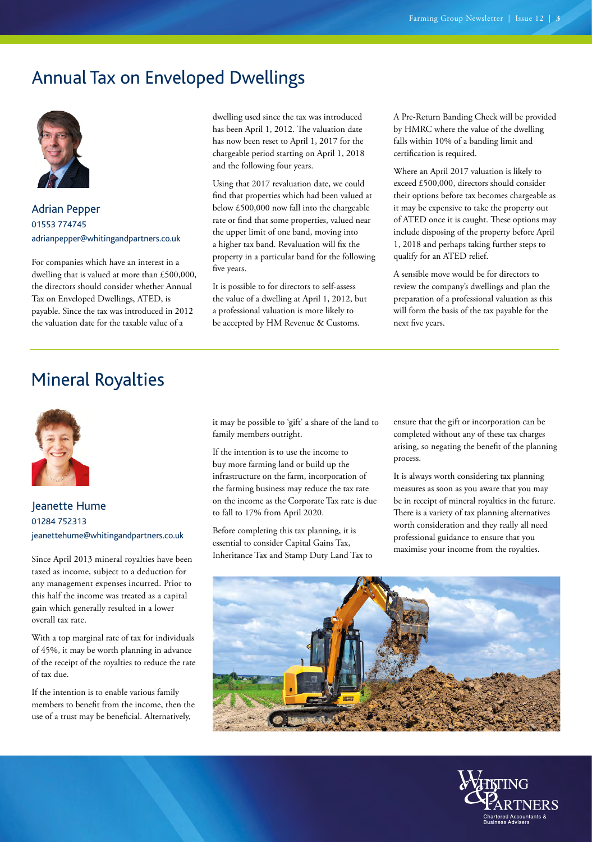# <span id="page-2-0"></span>Annual Tax on Enveloped Dwellings



Adrian Pepper 01553 774745 [adrianpepper@whitingandpartners.co.uk](mailto:adrianpepper%40whitingandpartners.co.uk?subject=)

For companies which have an interest in a dwelling that is valued at more than £500,000, the directors should consider whether Annual Tax on Enveloped Dwellings, ATED, is payable. Since the tax was introduced in 2012 the valuation date for the taxable value of a

dwelling used since the tax was introduced has been April 1, 2012. The valuation date has now been reset to April 1, 2017 for the chargeable period starting on April 1, 2018 and the following four years.

Using that 2017 revaluation date, we could find that properties which had been valued at below £500,000 now fall into the chargeable rate or find that some properties, valued near the upper limit of one band, moving into a higher tax band. Revaluation will fix the property in a particular band for the following five years.

It is possible to for directors to self-assess the value of a dwelling at April 1, 2012, but a professional valuation is more likely to be accepted by HM Revenue & Customs.

A Pre-Return Banding Check will be provided by HMRC where the value of the dwelling falls within 10% of a banding limit and certification is required.

Where an April 2017 valuation is likely to exceed £500,000, directors should consider their options before tax becomes chargeable as it may be expensive to take the property out of ATED once it is caught. These options may include disposing of the property before April 1, 2018 and perhaps taking further steps to qualify for an ATED relief.

A sensible move would be for directors to review the company's dwellings and plan the preparation of a professional valuation as this will form the basis of the tax payable for the next five years.

# Mineral Royalties



### Jeanette Hume 01284 752313 [jeanettehume@whitingandpartners.co.uk](mailto:jeanettehume%40whitingandpartners.co.uk?subject=)

Since April 2013 mineral royalties have been taxed as income, subject to a deduction for any management expenses incurred. Prior to this half the income was treated as a capital gain which generally resulted in a lower overall tax rate.

With a top marginal rate of tax for individuals of 45%, it may be worth planning in advance of the receipt of the royalties to reduce the rate of tax due.

If the intention is to enable various family members to benefit from the income, then the use of a trust may be beneficial. Alternatively,

it may be possible to 'gift' a share of the land to family members outright.

If the intention is to use the income to buy more farming land or build up the infrastructure on the farm, incorporation of the farming business may reduce the tax rate on the income as the Corporate Tax rate is due to fall to 17% from April 2020.

Before completing this tax planning, it is essential to consider Capital Gains Tax, Inheritance Tax and Stamp Duty Land Tax to ensure that the gift or incorporation can be completed without any of these tax charges arising, so negating the benefit of the planning process.

It is always worth considering tax planning measures as soon as you aware that you may be in receipt of mineral royalties in the future. There is a variety of tax planning alternatives worth consideration and they really all need professional guidance to ensure that you maximise your income from the royalties.